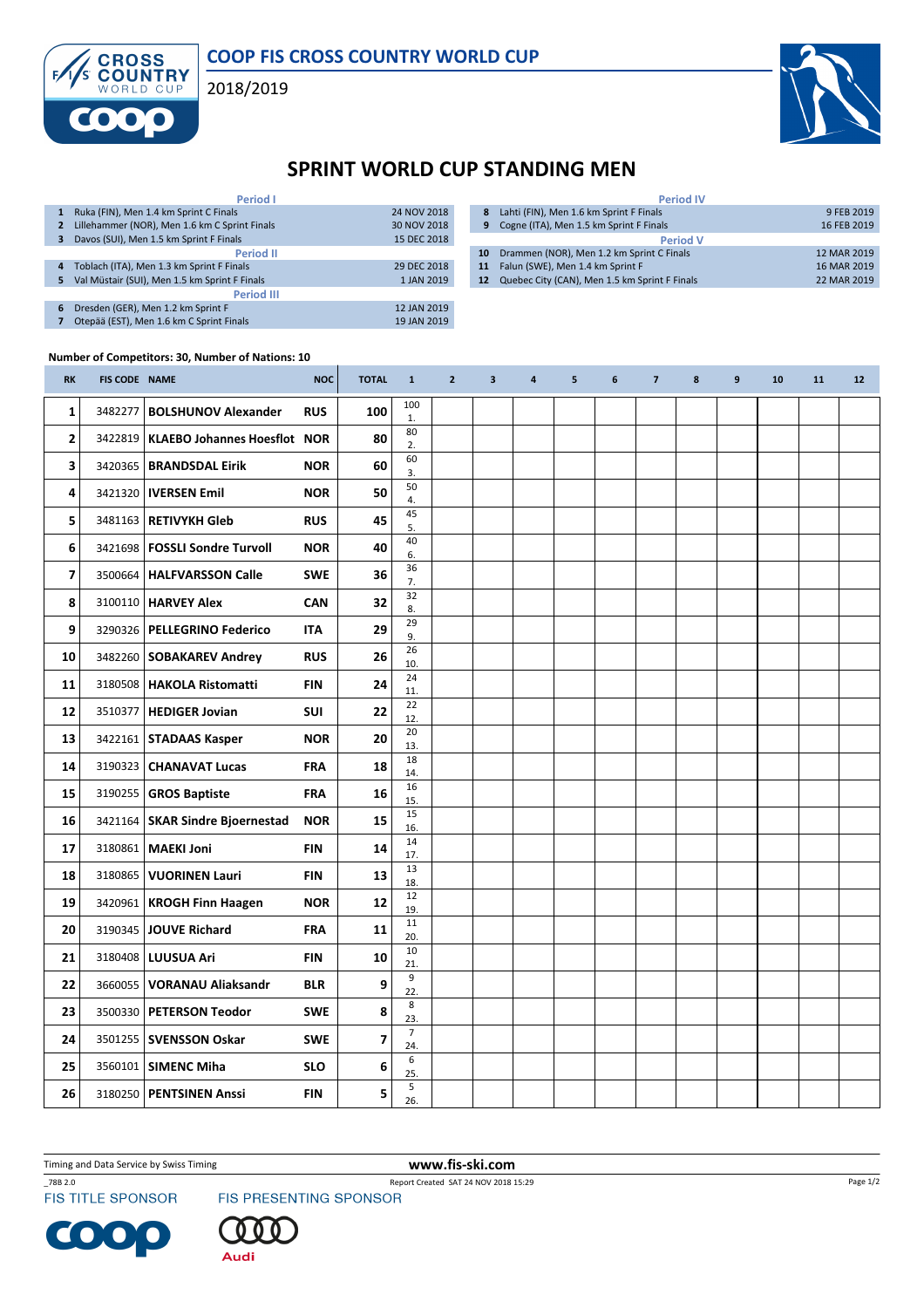

2018/2019



## SPRINT WORLD CUP STANDING MEN

|                   | <b>Period I</b>                               |             |  |  |  |  |  |  |  |
|-------------------|-----------------------------------------------|-------------|--|--|--|--|--|--|--|
| 1                 | Ruka (FIN), Men 1.4 km Sprint C Finals        | 24 NOV 2018 |  |  |  |  |  |  |  |
| 2                 | Lillehammer (NOR), Men 1.6 km C Sprint Finals | 30 NOV 2018 |  |  |  |  |  |  |  |
| 3                 | Davos (SUI), Men 1.5 km Sprint F Finals       | 15 DEC 2018 |  |  |  |  |  |  |  |
|                   | <b>Period II</b>                              |             |  |  |  |  |  |  |  |
| 4                 | Toblach (ITA), Men 1.3 km Sprint F Finals     | 29 DEC 2018 |  |  |  |  |  |  |  |
| 5                 | Val Müstair (SUI), Men 1.5 km Sprint F Finals | 1 JAN 2019  |  |  |  |  |  |  |  |
| <b>Period III</b> |                                               |             |  |  |  |  |  |  |  |
| 6                 | Dresden (GER), Men 1.2 km Sprint F            | 12 JAN 2019 |  |  |  |  |  |  |  |
|                   | Otepää (EST), Men 1.6 km C Sprint Finals      | 19 JAN 2019 |  |  |  |  |  |  |  |

| <b>Period IV</b> |                                               |             |  |  |  |  |  |  |  |  |
|------------------|-----------------------------------------------|-------------|--|--|--|--|--|--|--|--|
| 8                | Lahti (FIN), Men 1.6 km Sprint F Finals       | 9 FEB 2019  |  |  |  |  |  |  |  |  |
| 9                | Cogne (ITA), Men 1.5 km Sprint F Finals       | 16 FEB 2019 |  |  |  |  |  |  |  |  |
| <b>Period V</b>  |                                               |             |  |  |  |  |  |  |  |  |
| 10               | Drammen (NOR), Men 1.2 km Sprint C Finals     | 12 MAR 2019 |  |  |  |  |  |  |  |  |
| 11               | Falun (SWE), Men 1.4 km Sprint F              | 16 MAR 2019 |  |  |  |  |  |  |  |  |
| 12               | Quebec City (CAN), Men 1.5 km Sprint F Finals | 22 MAR 2019 |  |  |  |  |  |  |  |  |

## Number of Competitors: 30, Number of Nations: 10

CROSS<br>COUNTRY

Ė

| <b>RK</b>               | <b>FIS CODE NAME</b> |                                        | <b>NOC</b> | <b>TOTAL</b>            | $\mathbf{1}$          | $\overline{2}$ | 3 | $\overline{\mathbf{4}}$ | 5 | 6 | $\overline{7}$ | 8 | 9 | 10 | 11 | 12 |
|-------------------------|----------------------|----------------------------------------|------------|-------------------------|-----------------------|----------------|---|-------------------------|---|---|----------------|---|---|----|----|----|
| $\mathbf{1}$            | 3482277              | <b>BOLSHUNOV Alexander</b>             | <b>RUS</b> | 100                     | 100<br>1.             |                |   |                         |   |   |                |   |   |    |    |    |
| $\overline{\mathbf{2}}$ |                      | 3422819   KLAEBO Johannes Hoesflot NOR |            | 80                      | 80<br>2.              |                |   |                         |   |   |                |   |   |    |    |    |
| 3                       |                      | 3420365   BRANDSDAL Eirik              | <b>NOR</b> | 60                      | 60<br>3.              |                |   |                         |   |   |                |   |   |    |    |    |
| 4                       |                      | 3421320   IVERSEN Emil                 | <b>NOR</b> | 50                      | 50<br>4.              |                |   |                         |   |   |                |   |   |    |    |    |
| 5                       |                      | 3481163   RETIVYKH Gleb                | <b>RUS</b> | 45                      | 45<br>5.              |                |   |                         |   |   |                |   |   |    |    |    |
| 6                       |                      | 3421698   FOSSLI Sondre Turvoll        | <b>NOR</b> | 40                      | 40<br>6.              |                |   |                         |   |   |                |   |   |    |    |    |
| $\overline{7}$          |                      | 3500664   HALFVARSSON Calle            | <b>SWE</b> | 36                      | 36<br>7.              |                |   |                         |   |   |                |   |   |    |    |    |
| 8                       |                      | 3100110   HARVEY Alex                  | <b>CAN</b> | 32                      | 32<br>8.              |                |   |                         |   |   |                |   |   |    |    |    |
| 9                       |                      | 3290326   PELLEGRINO Federico          | <b>ITA</b> | 29                      | 29<br>9.              |                |   |                         |   |   |                |   |   |    |    |    |
| 10                      |                      | 3482260   SOBAKAREV Andrey             | <b>RUS</b> | 26                      | 26<br>10.             |                |   |                         |   |   |                |   |   |    |    |    |
| 11                      |                      | 3180508   HAKOLA Ristomatti            | FIN        | 24                      | 24<br>11.             |                |   |                         |   |   |                |   |   |    |    |    |
| 12                      | 3510377              | <b>HEDIGER Jovian</b>                  | SUI        | 22                      | 22<br>12.             |                |   |                         |   |   |                |   |   |    |    |    |
| 13                      |                      | 3422161 STADAAS Kasper                 | <b>NOR</b> | 20                      | 20<br>13.             |                |   |                         |   |   |                |   |   |    |    |    |
| 14                      |                      | 3190323   CHANAVAT Lucas               | <b>FRA</b> | 18                      | 18<br>14.             |                |   |                         |   |   |                |   |   |    |    |    |
| 15                      |                      | 3190255   GROS Baptiste                | <b>FRA</b> | 16                      | 16<br>15.             |                |   |                         |   |   |                |   |   |    |    |    |
| 16                      |                      | 3421164 SKAR Sindre Bjoernestad        | <b>NOR</b> | 15                      | 15<br>16.             |                |   |                         |   |   |                |   |   |    |    |    |
| 17                      |                      | 3180861   MAEKI Joni                   | <b>FIN</b> | 14                      | 14<br>17.             |                |   |                         |   |   |                |   |   |    |    |    |
| 18                      |                      | 3180865   VUORINEN Lauri               | <b>FIN</b> | 13                      | 13<br>18.             |                |   |                         |   |   |                |   |   |    |    |    |
| 19                      |                      | 3420961   KROGH Finn Haagen            | <b>NOR</b> | 12                      | 12<br>19.             |                |   |                         |   |   |                |   |   |    |    |    |
| 20                      |                      | 3190345 JOUVE Richard                  | <b>FRA</b> | 11                      | 11<br>20.             |                |   |                         |   |   |                |   |   |    |    |    |
| 21                      |                      | 3180408   LUUSUA Ari                   | <b>FIN</b> | 10                      | 10<br>21.             |                |   |                         |   |   |                |   |   |    |    |    |
| 22                      |                      | 3660055   VORANAU Aliaksandr           | <b>BLR</b> | 9                       | 9<br>22.              |                |   |                         |   |   |                |   |   |    |    |    |
| 23                      |                      | 3500330   PETERSON Teodor              | <b>SWE</b> | 8                       | $\,$ 8 $\,$<br>23.    |                |   |                         |   |   |                |   |   |    |    |    |
| 24                      |                      | 3501255   SVENSSON Oskar               | <b>SWE</b> | $\overline{\mathbf{z}}$ | $\overline{7}$<br>24. |                |   |                         |   |   |                |   |   |    |    |    |
| 25                      |                      | 3560101   SIMENC Miha                  | <b>SLO</b> | 6                       | $\,$ 6<br>25.         |                |   |                         |   |   |                |   |   |    |    |    |
| 26                      |                      | 3180250   PENTSINEN Anssi              | <b>FIN</b> | 5                       | 5<br>26.              |                |   |                         |   |   |                |   |   |    |    |    |

Timing and Data Service by Swiss Timing WWW.fis-ski.com

\_78B 2.0 Report Created SAT 24 NOV 2018 15:29<br>FIS TITLE SPONSOR FIS PRESENTING SPONSOR

 $\blacksquare$  $\bullet$ 



Page 1/2